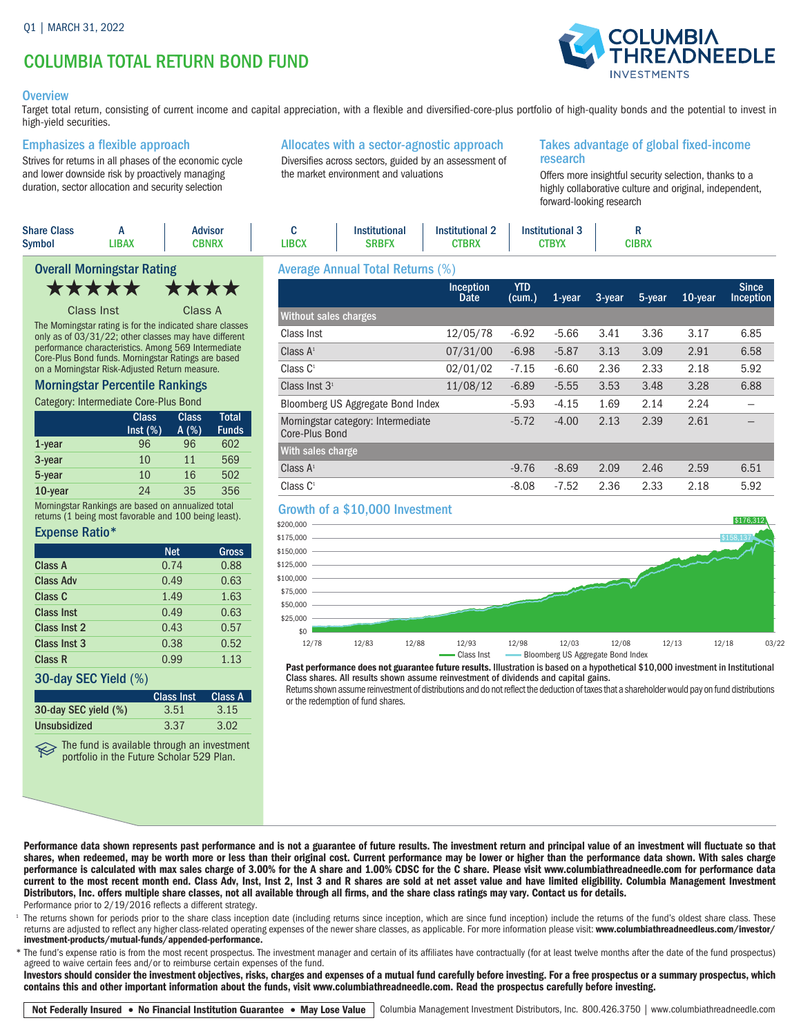# COLUMBIA TOTAL RETURN BOND FUND

#### **Overview**

Target total return, consisting of current income and capital appreciation, with a flexible and diversified-core-plus portfolio of high-quality bonds and the potential to invest in high-yield securities.

#### Emphasizes a flexible approach

Strives for returns in all phases of the economic cycle and lower downside risk by proactively managing duration, sector allocation and security selection

# Allocates with a sector-agnostic approach

Diversifies across sectors, guided by an assessment of the market environment and valuations

#### Takes advantage of global fixed-income research

Offers more insightful security selection, thanks to a highly collaborative culture and original, independent, forward-looking research

| <b>Share Class</b><br><b>Symbol</b> | <b>LIBAX</b> | Advisor<br>CBNRX | <b>.IBCX</b> | <b>Institutional</b><br>SRBFX | <b>Institutional 2</b><br>CTBRX | <b>Institutional 3</b><br>CTBYX | <b>CIBRX</b> |  |
|-------------------------------------|--------------|------------------|--------------|-------------------------------|---------------------------------|---------------------------------|--------------|--|
| .<br>$\sim$                         |              |                  |              |                               | $\sim$ $\sim$ $\sim$            |                                 |              |  |



Class Inst Class A

The Morningstar rating is for the indicated share classes only as of 03/31/22; other classes may have different performance characteristics. Among 569 Intermediate Core-Plus Bond funds. Morningstar Ratings are based on a Morningstar Risk-Adjusted Return measure.

#### Morningstar Percentile Rankings

Category: Intermediate Core-Plus Bond

|           | <b>Class</b><br>Inst (%) | <b>Class</b><br>A(%) | <b>Total</b><br><b>Funds</b> |
|-----------|--------------------------|----------------------|------------------------------|
| $1$ -year | 96                       | 96                   | 602                          |
| 3-year    | 10                       | 11                   | 569                          |
| 5-year    | 10                       | 16                   | 502                          |
| 10-year   | 24                       | 35                   | 356                          |

Morningstar Rankings are based on annualized total returns (1 being most favorable and 100 being least).

#### Expense Ratio\*

|                    | <b>Net</b> | Gross |
|--------------------|------------|-------|
| <b>Class A</b>     | 0.74       | 0.88  |
| <b>Class Adv</b>   | 0.49       | 0.63  |
| Class <sub>C</sub> | 1.49       | 1.63  |
| <b>Class Inst</b>  | 0.49       | 0.63  |
| Class Inst 2       | 0.43       | 0.57  |
| Class Inst 3       | 0.38       | 0.52  |
| Class R            | 0.99       | 1.13  |

#### 30-day SEC Yield (%)

|                      | <b>Class Inst</b> | Class A |
|----------------------|-------------------|---------|
| 30-day SEC yield (%) | 3.51              | 3.15    |
| Unsubsidized         | 3.37              | 3.02    |

The fund is available through an investment portfolio in the Future Scholar 529 Plan.

# Average Annual Total Returns (%)

|                                                      | <b>Inception</b><br>Date | <b>YTD</b><br>(cum.) | $1$ -year | 3-year | 5-year | 10-year | <b>Since</b><br>Inception |
|------------------------------------------------------|--------------------------|----------------------|-----------|--------|--------|---------|---------------------------|
| Without sales charges                                |                          |                      |           |        |        |         |                           |
| Class Inst                                           | 12/05/78                 | $-6.92$              | $-5.66$   | 3.41   | 3.36   | 3.17    | 6.85                      |
| Class $A^1$                                          | 07/31/00                 | $-6.98$              | $-5.87$   | 3.13   | 3.09   | 2.91    | 6.58                      |
| Class C <sup>1</sup>                                 | 02/01/02                 | $-7.15$              | $-6.60$   | 2.36   | 2.33   | 2.18    | 5.92                      |
| Class Inst $31$                                      | 11/08/12                 | $-6.89$              | $-5.55$   | 3.53   | 3.48   | 3.28    | 6.88                      |
| Bloomberg US Aggregate Bond Index                    |                          | $-5.93$              | $-4.15$   | 1.69   | 2.14   | 2.24    |                           |
| Morningstar category: Intermediate<br>Core-Plus Bond |                          | $-5.72$              | $-4.00$   | 2.13   | 2.39   | 2.61    |                           |
| With sales charge                                    |                          |                      |           |        |        |         |                           |
| Class $A^1$                                          |                          | $-9.76$              | $-8.69$   | 2.09   | 2.46   | 2.59    | 6.51                      |
| Class $C1$                                           |                          | $-8.08$              | $-7.52$   | 2.36   | 2.33   | 2.18    | 5.92                      |

#### Growth of a \$10,000 Investment



Past performance does not guarantee future results. Illustration is based on a hypothetical \$10,000 investment in Institutional Class shares. All results shown assume reinvestment of dividends and capital gains.

Returns shown assume reinvestment of distributions and do not reflect the deduction of taxes that a shareholder would pay on fund distributions or the redemption of fund shares.

Performance data shown represents past performance and is not a guarantee of future results. The investment return and principal value of an investment will fluctuate so that shares, when redeemed, may be worth more or less than their original cost. Current performance may be lower or higher than the performance data shown. With sales charge performance is calculated with max sales charge of 3.00% for the A share and 1.00% CDSC for the C share. Please visit www.columbiathreadneedle.com for performance data current to the most recent month end. Class Adv, Inst, Inst 2, Inst 3 and R shares are sold at net asset value and have limited eligibility. Columbia Management Investment Distributors, Inc. offers multiple share classes, not all available through all firms, and the share class ratings may vary. Contact us for details. Performance prior to 2/19/2016 reflects a different strategy.

The returns shown for periods prior to the share class inception date (including returns since inception, which are since fund inception) include the returns of the fund's oldest share class. These returns are adjusted to reflect any higher class-related operating expenses of the newer share classes, as applicable. For more information please visit: www.columbiathreadneedleus.com/investor/ investment-products/mutual-funds/appended-performance.

\* The fund's expense ratio is from the most recent prospectus. The investment manager and certain of its affiliates have contractually (for at least twelve months after the date of the fund prospectus) agreed to waive certain fees and/or to reimburse certain expenses of the fund.

Investors should consider the investment objectives, risks, charges and expenses of a mutual fund carefully before investing. For a free prospectus or a summary prospectus, which contains this and other important information about the funds, visit www.columbiathreadneedle.com. Read the prospectus carefully before investing.

Not Federally Insured • No Financial Institution Guarantee • May Lose Value Columbia Management Investment Distributors, Inc. 800.426.3750 | www.columbiathreadneedle.com